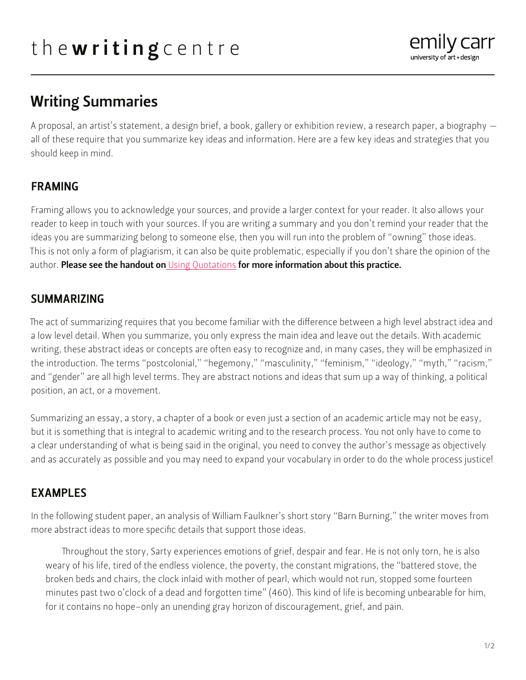# Writing Summaries

A proposal, an artist's statement, a design brief, a book, gallery or exhibition review, a research paper, a biography all of these require that you summarize key ideas and information. Here are a few key ideas and strategies that you should keep in mind.

## FRAMING

Framing allows you to acknowledge your sources, and provide a larger context for your reader. It also allows your reader to keep in touch with your sources. If you are writing a summary and you don't remind your reader that the ideas you are summarizing belong to someone else, then you will run into the problem of "owning" those ideas. This is not only a form of plagiarism, it can also be quite problematic, especially if you don't share the opinion of the author. Please see the handout on [Using Quotations](https://writingcentre.ecuad.ca/wp-content/uploads/2022/01/93164-online_quote_paraphrase.pdf) for more information about this practice.

## SUMMARIZING

The act of summarizing requires that you become familiar with the difference between a high level abstract idea and a low level detail. When you summarize, you only express the main idea and leave out the details. With academic writing, these abstract ideas or concepts are often easy to recognize and, in many cases, they will be emphasized in the introduction. The terms "postcolonial," "hegemony," "masculinity," "feminism," "ideology," "myth," "racism," and "gender" are all high level terms. They are abstract notions and ideas that sum up a way of thinking, a political position, an act, or a movement.

Summarizing an essay, a story, a chapter of a book or even just a section of an academic article may not be easy, but it is something that is integral to academic writing and to the research process. You not only have to come to a clear understanding of what is being said in the original, you need to convey the author's message as objectively and as accurately as possible and you may need to expand your vocabulary in order to do the whole process justice!

## EXAMPLES

In the following student paper, an analysis of William Faulkner's short story "Barn Burning," the writer moves from more abstract ideas to more specific details that support those ideas.

Throughout the story, Sarty experiences emotions of grief, despair and fear. He is not only torn, he is also weary of his life, tired of the endless violence, the poverty, the constant migrations, the "battered stove, the broken beds and chairs, the clock inlaid with mother of pearl, which would not run, stopped some fourteen minutes past two o'clock of a dead and forgotten time" (460). This kind of life is becoming unbearable for him, for it contains no hope–only an unending gray horizon of discouragement, grief, and pain.